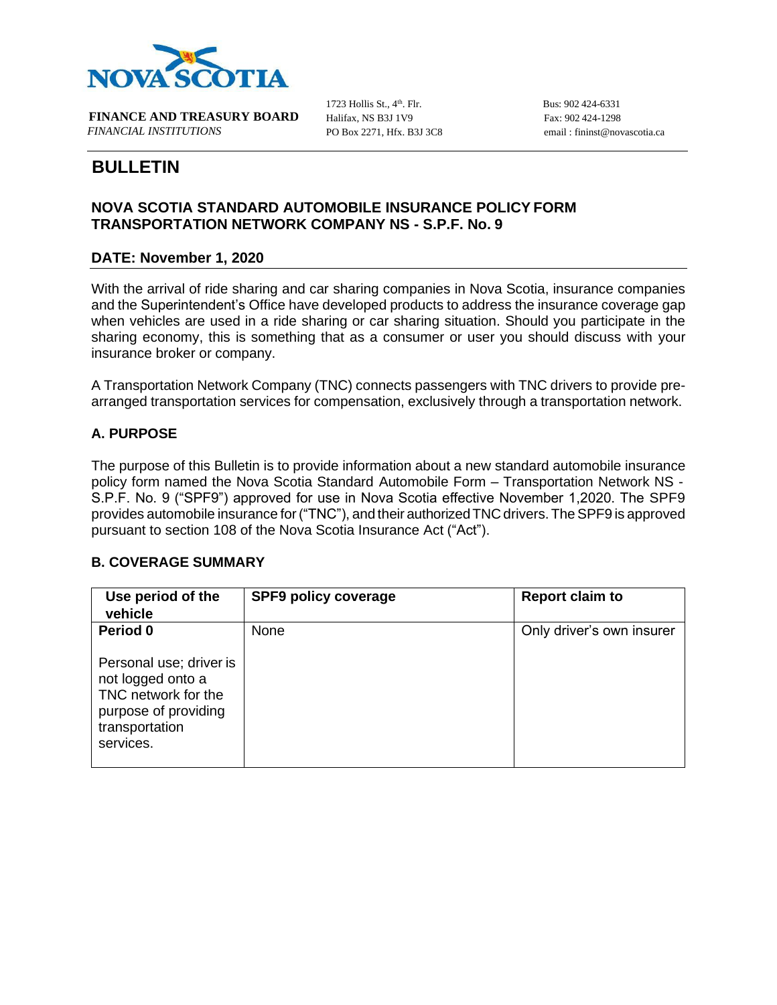

**FINANCE AND TREASURY BOARD** *FINANCIAL INSTITUTIONS* PO Box 2271, Hfx. B3J 3C8 email : [fininst@novascotia.ca](mailto:fininst@novascotia.ca)

1723 Hollis St.,  $4<sup>th</sup>$ . Flr. Halifax, NS B3J 1V9

Bus: 902 424-6331 Fax: 902 424-1298

# **BULLETIN**

## **NOVA SCOTIA STANDARD AUTOMOBILE INSURANCE POLICY FORM TRANSPORTATION NETWORK COMPANY NS - S.P.F. No. 9**

## **DATE: November 1, 2020**

With the arrival of ride sharing and car sharing companies in Nova Scotia, insurance companies and the Superintendent's Office have developed products to address the insurance coverage gap when vehicles are used in a ride sharing or car sharing situation. Should you participate in the sharing economy, this is something that as a consumer or user you should discuss with your insurance broker or company.

A Transportation Network Company (TNC) connects passengers with TNC drivers to provide prearranged transportation services for compensation, exclusively through a transportation network.

#### **A. PURPOSE**

The purpose of this Bulletin is to provide information about a new standard automobile insurance policy form named the Nova Scotia Standard Automobile Form – Transportation Network NS - S.P.F. No. 9 ("SPF9") approved for use in Nova Scotia effective November 1,2020. The SPF9 provides automobile insurance for ("TNC"), and their authorized TNC drivers. The SPF9 is approved pursuant to section 108 of the Nova Scotia Insurance Act ("Act").

#### **B. COVERAGE SUMMARY**

| Use period of the<br>vehicle                                                                                               | <b>SPF9 policy coverage</b> | <b>Report claim to</b>    |
|----------------------------------------------------------------------------------------------------------------------------|-----------------------------|---------------------------|
| Period 0                                                                                                                   | None                        | Only driver's own insurer |
| Personal use; driver is<br>not logged onto a<br>TNC network for the<br>purpose of providing<br>transportation<br>services. |                             |                           |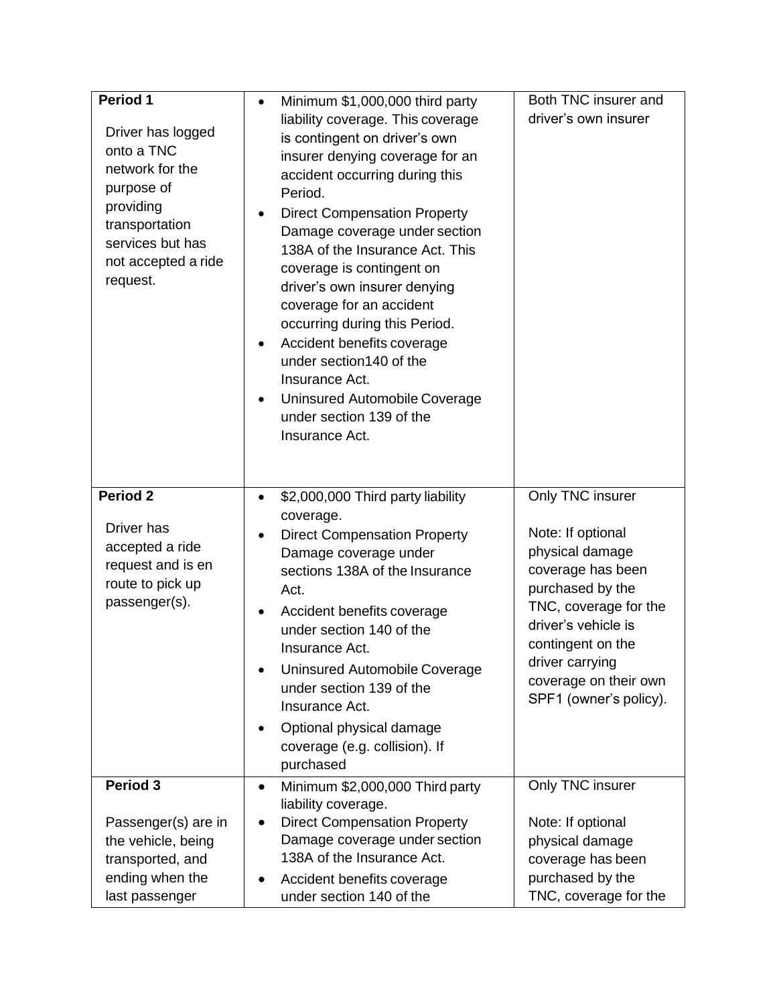| Period 1<br>Driver has logged<br>onto a TNC<br>network for the<br>purpose of<br>providing<br>transportation<br>services but has<br>not accepted a ride<br>request. | Minimum \$1,000,000 third party<br>$\bullet$<br>liability coverage. This coverage<br>is contingent on driver's own<br>insurer denying coverage for an<br>accident occurring during this<br>Period.<br><b>Direct Compensation Property</b><br>Damage coverage under section<br>138A of the Insurance Act. This<br>coverage is contingent on<br>driver's own insurer denying<br>coverage for an accident<br>occurring during this Period.<br>Accident benefits coverage<br>$\bullet$<br>under section140 of the<br>Insurance Act.<br>Uninsured Automobile Coverage<br>$\bullet$<br>under section 139 of the<br>Insurance Act. | Both TNC insurer and<br>driver's own insurer                                                                                                                                                                                                 |
|--------------------------------------------------------------------------------------------------------------------------------------------------------------------|-----------------------------------------------------------------------------------------------------------------------------------------------------------------------------------------------------------------------------------------------------------------------------------------------------------------------------------------------------------------------------------------------------------------------------------------------------------------------------------------------------------------------------------------------------------------------------------------------------------------------------|----------------------------------------------------------------------------------------------------------------------------------------------------------------------------------------------------------------------------------------------|
| <b>Period 2</b><br>Driver has<br>accepted a ride<br>request and is en<br>route to pick up<br>passenger(s).                                                         | \$2,000,000 Third party liability<br>$\bullet$<br>coverage.<br><b>Direct Compensation Property</b><br>Damage coverage under<br>sections 138A of the Insurance<br>Act.<br>Accident benefits coverage<br>$\bullet$<br>under section 140 of the<br>Insurance Act.<br>Uninsured Automobile Coverage<br>under section 139 of the<br>Insurance Act.<br>Optional physical damage<br>٠<br>coverage (e.g. collision). If<br>purchased                                                                                                                                                                                                | Only TNC insurer<br>Note: If optional<br>physical damage<br>coverage has been<br>purchased by the<br>TNC, coverage for the<br>driver's vehicle is<br>contingent on the<br>driver carrying<br>coverage on their own<br>SPF1 (owner's policy). |
| Period 3<br>Passenger(s) are in<br>the vehicle, being<br>transported, and<br>ending when the<br>last passenger                                                     | Minimum \$2,000,000 Third party<br>$\bullet$<br>liability coverage.<br><b>Direct Compensation Property</b><br>Damage coverage under section<br>138A of the Insurance Act.<br>Accident benefits coverage<br>under section 140 of the                                                                                                                                                                                                                                                                                                                                                                                         | Only TNC insurer<br>Note: If optional<br>physical damage<br>coverage has been<br>purchased by the<br>TNC, coverage for the                                                                                                                   |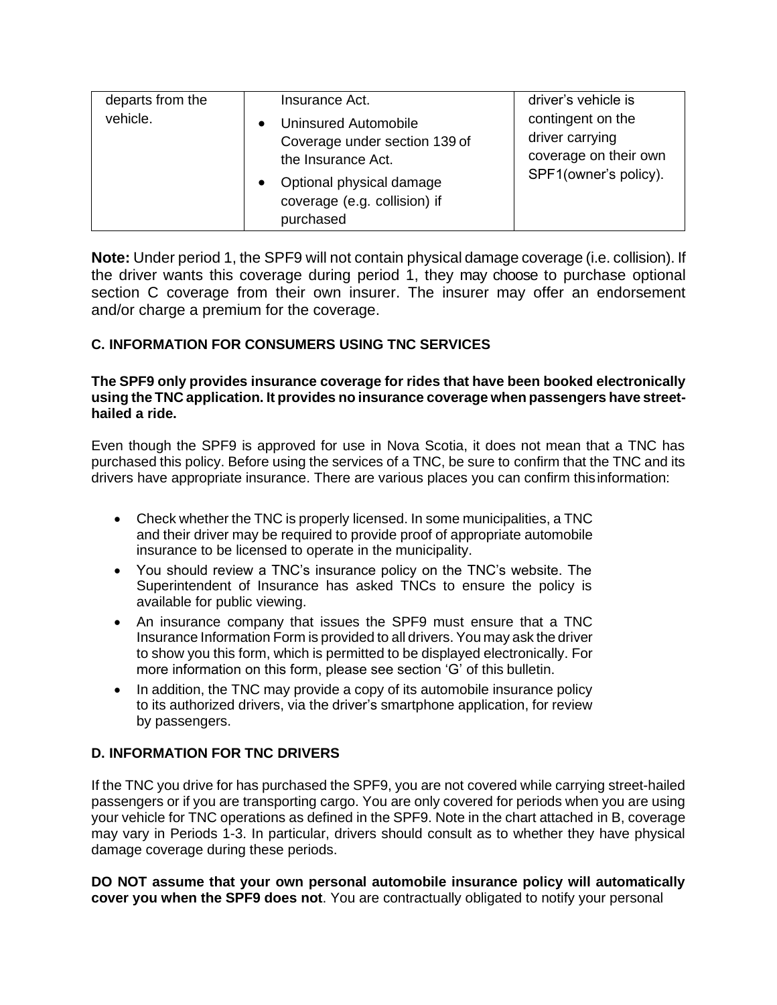| departs from the<br>driver's vehicle is<br>Insurance Act.                                                                                                                                                                                                                            |  |
|--------------------------------------------------------------------------------------------------------------------------------------------------------------------------------------------------------------------------------------------------------------------------------------|--|
| vehicle.<br>contingent on the<br>Uninsured Automobile<br>$\bullet$<br>driver carrying<br>Coverage under section 139 of<br>coverage on their own<br>the Insurance Act.<br>SPF1(owner's policy).<br>Optional physical damage<br>$\bullet$<br>coverage (e.g. collision) if<br>purchased |  |

**Note:** Under period 1, the SPF9 will not contain physical damage coverage (i.e. collision). If the driver wants this coverage during period 1, they may choose to purchase optional section C coverage from their own insurer. The insurer may offer an endorsement and/or charge a premium for the coverage.

# **C. INFORMATION FOR CONSUMERS USING TNC SERVICES**

#### **The SPF9 only provides insurance coverage for rides that have been booked electronically using the TNC application. It provides no insurance coverage when passengers have streethailed a ride.**

Even though the SPF9 is approved for use in Nova Scotia, it does not mean that a TNC has purchased this policy. Before using the services of a TNC, be sure to confirm that the TNC and its drivers have appropriate insurance. There are various places you can confirm thisinformation:

- Check whether the TNC is properly licensed. In some municipalities, a TNC and their driver may be required to provide proof of appropriate automobile insurance to be licensed to operate in the municipality.
- You should review a TNC's insurance policy on the TNC's website. The Superintendent of Insurance has asked TNCs to ensure the policy is available for public viewing.
- An insurance company that issues the SPF9 must ensure that a TNC Insurance Information Form is provided to all drivers. You may ask the driver to show you this form, which is permitted to be displayed electronically. For more information on this form, please see section 'G' of this bulletin.
- In addition, the TNC may provide a copy of its automobile insurance policy to its authorized drivers, via the driver's smartphone application, for review by passengers.

# **D. INFORMATION FOR TNC DRIVERS**

If the TNC you drive for has purchased the SPF9, you are not covered while carrying street-hailed passengers or if you are transporting cargo. You are only covered for periods when you are using your vehicle for TNC operations as defined in the SPF9. Note in the chart attached in B, coverage may vary in Periods 1-3. In particular, drivers should consult as to whether they have physical damage coverage during these periods.

**DO NOT assume that your own personal automobile insurance policy will automatically cover you when the SPF9 does not**. You are contractually obligated to notify your personal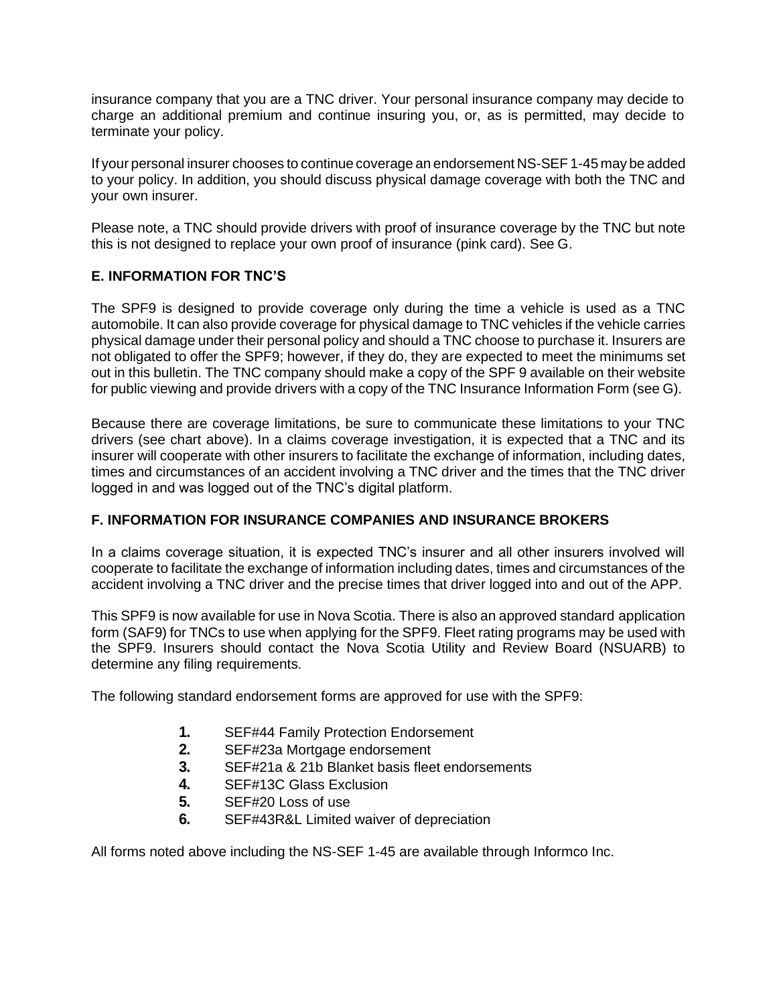insurance company that you are a TNC driver. Your personal insurance company may decide to charge an additional premium and continue insuring you, or, as is permitted, may decide to terminate your policy.

If your personal insurer chooses to continue coverage an endorsement NS-SEF 1-45 may be added to your policy. In addition, you should discuss physical damage coverage with both the TNC and your own insurer.

Please note, a TNC should provide drivers with proof of insurance coverage by the TNC but note this is not designed to replace your own proof of insurance (pink card). See G.

## **E. INFORMATION FOR TNC'S**

The SPF9 is designed to provide coverage only during the time a vehicle is used as a TNC automobile. It can also provide coverage for physical damage to TNC vehicles if the vehicle carries physical damage under their personal policy and should a TNC choose to purchase it. Insurers are not obligated to offer the SPF9; however, if they do, they are expected to meet the minimums set out in this bulletin. The TNC company should make a copy of the SPF 9 available on their website for public viewing and provide drivers with a copy of the TNC Insurance Information Form (see G).

Because there are coverage limitations, be sure to communicate these limitations to your TNC drivers (see chart above). In a claims coverage investigation, it is expected that a TNC and its insurer will cooperate with other insurers to facilitate the exchange of information, including dates, times and circumstances of an accident involving a TNC driver and the times that the TNC driver logged in and was logged out of the TNC's digital platform.

#### **F. INFORMATION FOR INSURANCE COMPANIES AND INSURANCE BROKERS**

In a claims coverage situation, it is expected TNC's insurer and all other insurers involved will cooperate to facilitate the exchange of information including dates, times and circumstances of the accident involving a TNC driver and the precise times that driver logged into and out of the APP.

This SPF9 is now available for use in Nova Scotia. There is also an approved standard application form (SAF9) for TNCs to use when applying for the SPF9. Fleet rating programs may be used with the SPF9. Insurers should contact the Nova Scotia Utility and Review Board (NSUARB) to determine any filing requirements.

The following standard endorsement forms are approved for use with the SPF9:

- **1.** SEF#44 Family Protection Endorsement
- **2.** SEF#23a Mortgage endorsement
- **3.** SEF#21a & 21b Blanket basis fleet endorsements
- **4.** SEF#13C Glass Exclusion
- **5.** SEF#20 Loss of use
- **6.** SEF#43R&L Limited waiver of depreciation

All forms noted above including the NS-SEF 1-45 are available through Informco Inc.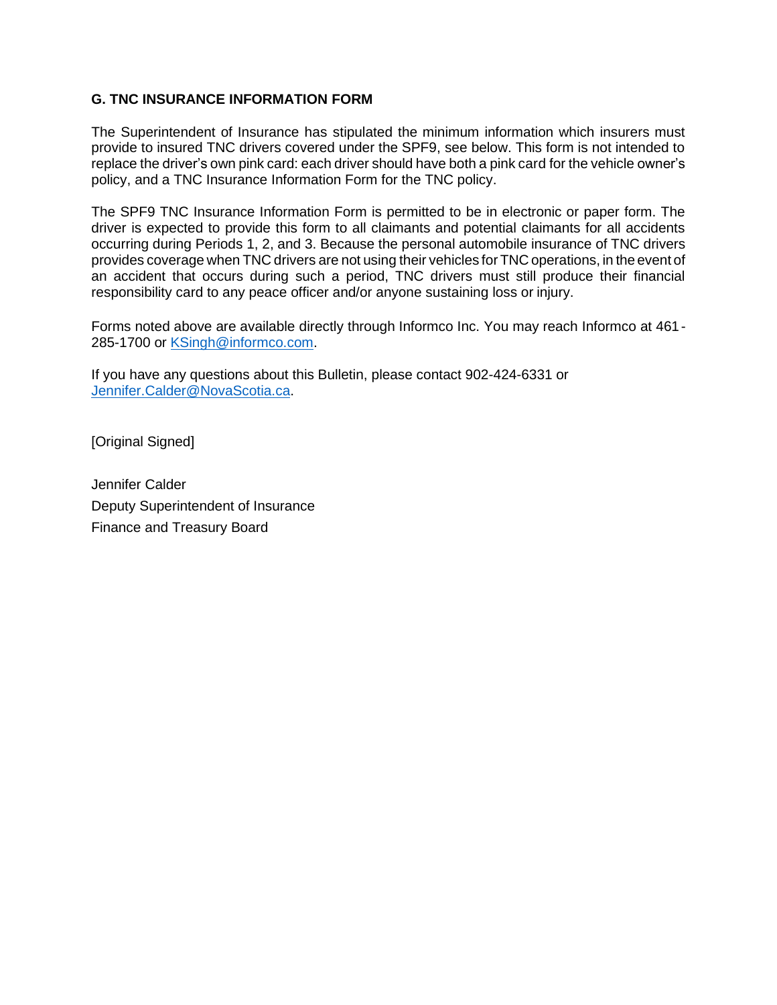#### **G. TNC INSURANCE INFORMATION FORM**

The Superintendent of Insurance has stipulated the minimum information which insurers must provide to insured TNC drivers covered under the SPF9, see below. This form is not intended to replace the driver's own pink card: each driver should have both a pink card for the vehicle owner's policy, and a TNC Insurance Information Form for the TNC policy.

The SPF9 TNC Insurance Information Form is permitted to be in electronic or paper form. The driver is expected to provide this form to all claimants and potential claimants for all accidents occurring during Periods 1, 2, and 3. Because the personal automobile insurance of TNC drivers provides coverage when TNC drivers are not using their vehicles for TNC operations, in the event of an accident that occurs during such a period, TNC drivers must still produce their financial responsibility card to any peace officer and/or anyone sustaining loss or injury.

Forms noted above are available directly through Informco Inc. You may reach Informco at 461- 285-1700 or [KSingh@informco.com.](mailto:KSingh@informco.com)

If you have any questions about this Bulletin, please contact 902-424-6331 or [Jennifer.Calder@NovaScotia.ca.](mailto:Jennifer.Calder@NovaScotia.ca)

[Original Signed]

Jennifer Calder Deputy Superintendent of Insurance Finance and Treasury Board